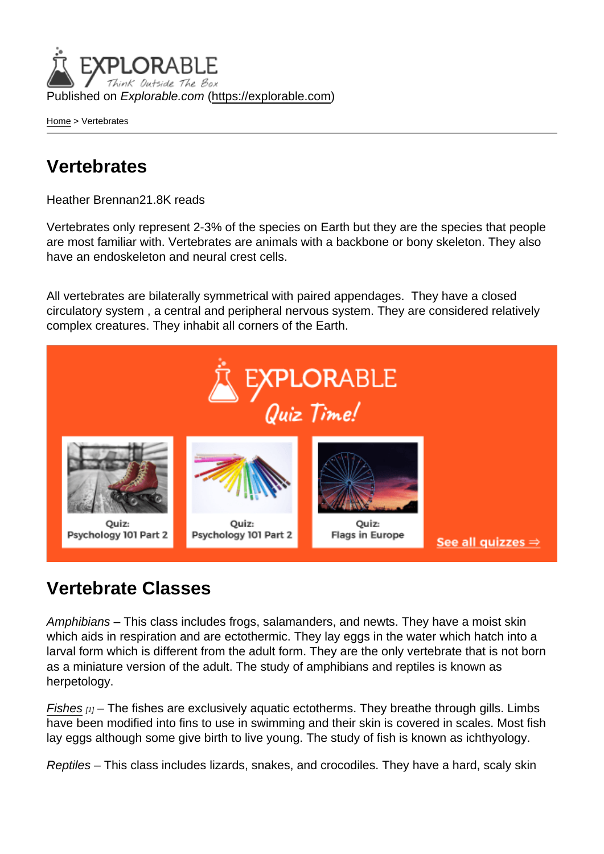Published on Explorable.com (<https://explorable.com>)

[Home](https://explorable.com/) > Vertebrates

## Vertebrates

Heather Brennan21.8K reads

Vertebrates only represent 2-3% of the species on Earth but they are the species that people are most familiar with. Vertebrates are animals with a backbone or bony skeleton. They also have an endoskeleton and neural crest cells.

All vertebrates are bilaterally symmetrical with paired appendages. They have a closed circulatory system , a central and peripheral nervous system. They are considered relatively complex creatures. They inhabit all corners of the Earth.

## Vertebrate Classes

Amphibians – This class includes frogs, salamanders, and newts. They have a moist skin which aids in respiration and are ectothermic. They lay eggs in the water which hatch into a larval form which is different from the adult form. They are the only vertebrate that is not born as a miniature version of the adult. The study of amphibians and reptiles is known as herpetology.

[Fishes](http://fisheries.org/)  $[1]$  – The fishes are exclusively aquatic ectotherms. They breathe through gills. Limbs have been modified into fins to use in swimming and their skin is covered in scales. Most fish lay eggs although some give birth to live young. The study of fish is known as ichthyology.

Reptiles – This class includes lizards, snakes, and crocodiles. They have a hard, scaly skin